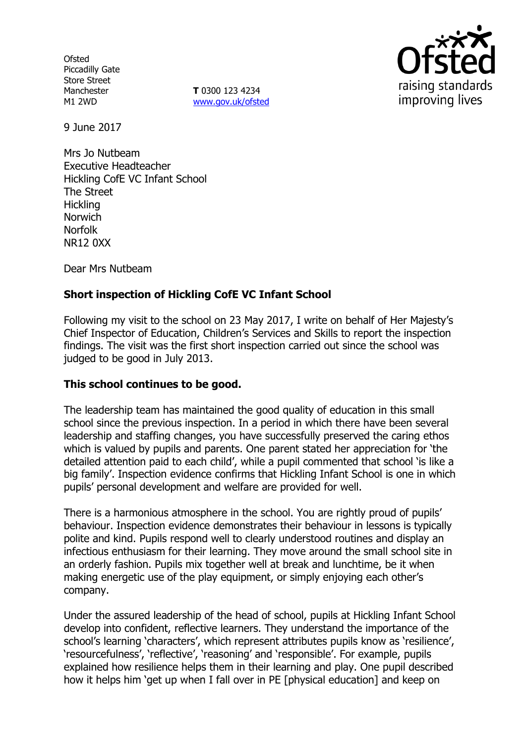**Ofsted** Piccadilly Gate Store Street Manchester M1 2WD

**T** 0300 123 4234 www.gov.uk/ofsted



9 June 2017

Mrs Jo Nutbeam Executive Headteacher Hickling CofE VC Infant School The Street **Hickling** Norwich Norfolk NR12 0XX

Dear Mrs Nutbeam

# **Short inspection of Hickling CofE VC Infant School**

Following my visit to the school on 23 May 2017, I write on behalf of Her Majesty's Chief Inspector of Education, Children's Services and Skills to report the inspection findings. The visit was the first short inspection carried out since the school was judged to be good in July 2013.

# **This school continues to be good.**

The leadership team has maintained the good quality of education in this small school since the previous inspection. In a period in which there have been several leadership and staffing changes, you have successfully preserved the caring ethos which is valued by pupils and parents. One parent stated her appreciation for 'the detailed attention paid to each child', while a pupil commented that school 'is like a big family'. Inspection evidence confirms that Hickling Infant School is one in which pupils' personal development and welfare are provided for well.

There is a harmonious atmosphere in the school. You are rightly proud of pupils' behaviour. Inspection evidence demonstrates their behaviour in lessons is typically polite and kind. Pupils respond well to clearly understood routines and display an infectious enthusiasm for their learning. They move around the small school site in an orderly fashion. Pupils mix together well at break and lunchtime, be it when making energetic use of the play equipment, or simply enjoying each other's company.

Under the assured leadership of the head of school, pupils at Hickling Infant School develop into confident, reflective learners. They understand the importance of the school's learning 'characters', which represent attributes pupils know as 'resilience', 'resourcefulness', 'reflective', 'reasoning' and 'responsible'. For example, pupils explained how resilience helps them in their learning and play. One pupil described how it helps him 'get up when I fall over in PE [physical education] and keep on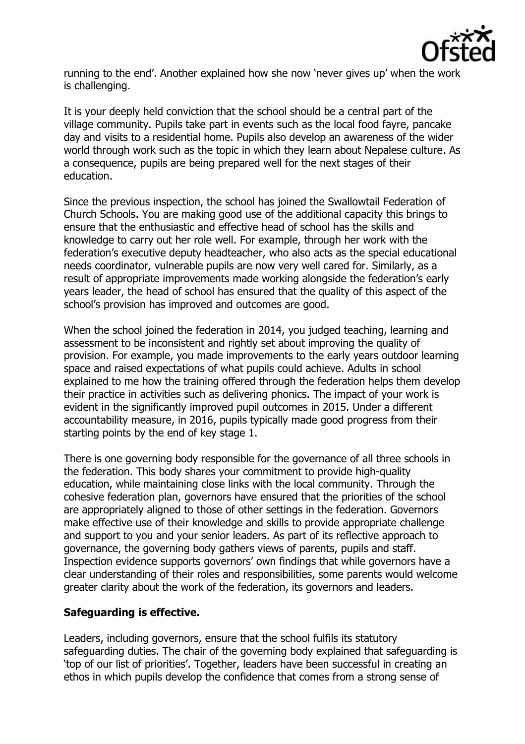

running to the end'. Another explained how she now 'never gives up' when the work is challenging.

It is your deeply held conviction that the school should be a central part of the village community. Pupils take part in events such as the local food fayre, pancake day and visits to a residential home. Pupils also develop an awareness of the wider world through work such as the topic in which they learn about Nepalese culture. As a consequence, pupils are being prepared well for the next stages of their education.

Since the previous inspection, the school has joined the Swallowtail Federation of Church Schools. You are making good use of the additional capacity this brings to ensure that the enthusiastic and effective head of school has the skills and knowledge to carry out her role well. For example, through her work with the federation's executive deputy headteacher, who also acts as the special educational needs coordinator, vulnerable pupils are now very well cared for. Similarly, as a result of appropriate improvements made working alongside the federation's early years leader, the head of school has ensured that the quality of this aspect of the school's provision has improved and outcomes are good.

When the school joined the federation in 2014, you judged teaching, learning and assessment to be inconsistent and rightly set about improving the quality of provision. For example, you made improvements to the early years outdoor learning space and raised expectations of what pupils could achieve. Adults in school explained to me how the training offered through the federation helps them develop their practice in activities such as delivering phonics. The impact of your work is evident in the significantly improved pupil outcomes in 2015. Under a different accountability measure, in 2016, pupils typically made good progress from their starting points by the end of key stage 1.

There is one governing body responsible for the governance of all three schools in the federation. This body shares your commitment to provide high-quality education, while maintaining close links with the local community. Through the cohesive federation plan, governors have ensured that the priorities of the school are appropriately aligned to those of other settings in the federation. Governors make effective use of their knowledge and skills to provide appropriate challenge and support to you and your senior leaders. As part of its reflective approach to governance, the governing body gathers views of parents, pupils and staff. Inspection evidence supports governors' own findings that while governors have a clear understanding of their roles and responsibilities, some parents would welcome greater clarity about the work of the federation, its governors and leaders.

## **Safeguarding is effective.**

Leaders, including governors, ensure that the school fulfils its statutory safeguarding duties. The chair of the governing body explained that safeguarding is 'top of our list of priorities'. Together, leaders have been successful in creating an ethos in which pupils develop the confidence that comes from a strong sense of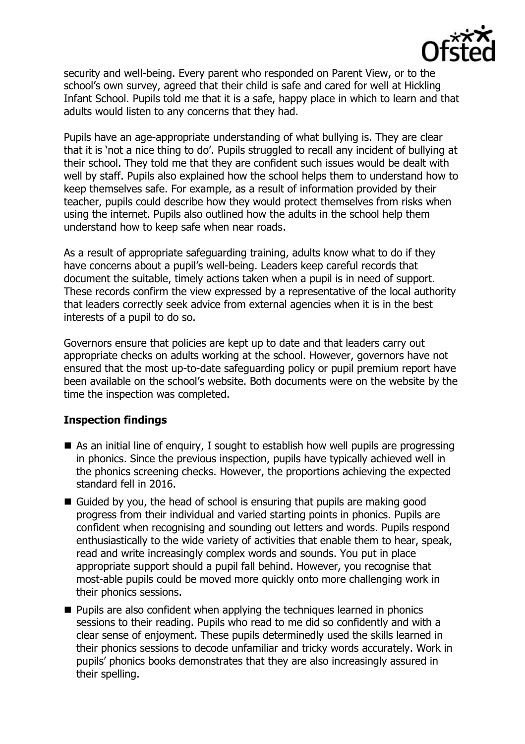

security and well-being. Every parent who responded on Parent View, or to the school's own survey, agreed that their child is safe and cared for well at Hickling Infant School. Pupils told me that it is a safe, happy place in which to learn and that adults would listen to any concerns that they had.

Pupils have an age-appropriate understanding of what bullying is. They are clear that it is 'not a nice thing to do'. Pupils struggled to recall any incident of bullying at their school. They told me that they are confident such issues would be dealt with well by staff. Pupils also explained how the school helps them to understand how to keep themselves safe. For example, as a result of information provided by their teacher, pupils could describe how they would protect themselves from risks when using the internet. Pupils also outlined how the adults in the school help them understand how to keep safe when near roads.

As a result of appropriate safeguarding training, adults know what to do if they have concerns about a pupil's well-being. Leaders keep careful records that document the suitable, timely actions taken when a pupil is in need of support. These records confirm the view expressed by a representative of the local authority that leaders correctly seek advice from external agencies when it is in the best interests of a pupil to do so.

Governors ensure that policies are kept up to date and that leaders carry out appropriate checks on adults working at the school. However, governors have not ensured that the most up-to-date safeguarding policy or pupil premium report have been available on the school's website. Both documents were on the website by the time the inspection was completed.

## **Inspection findings**

- As an initial line of enquiry, I sought to establish how well pupils are progressing in phonics. Since the previous inspection, pupils have typically achieved well in the phonics screening checks. However, the proportions achieving the expected standard fell in 2016.
- Guided by you, the head of school is ensuring that pupils are making good progress from their individual and varied starting points in phonics. Pupils are confident when recognising and sounding out letters and words. Pupils respond enthusiastically to the wide variety of activities that enable them to hear, speak, read and write increasingly complex words and sounds. You put in place appropriate support should a pupil fall behind. However, you recognise that most-able pupils could be moved more quickly onto more challenging work in their phonics sessions.
- **Pupils are also confident when applying the techniques learned in phonics** sessions to their reading. Pupils who read to me did so confidently and with a clear sense of enjoyment. These pupils determinedly used the skills learned in their phonics sessions to decode unfamiliar and tricky words accurately. Work in pupils' phonics books demonstrates that they are also increasingly assured in their spelling.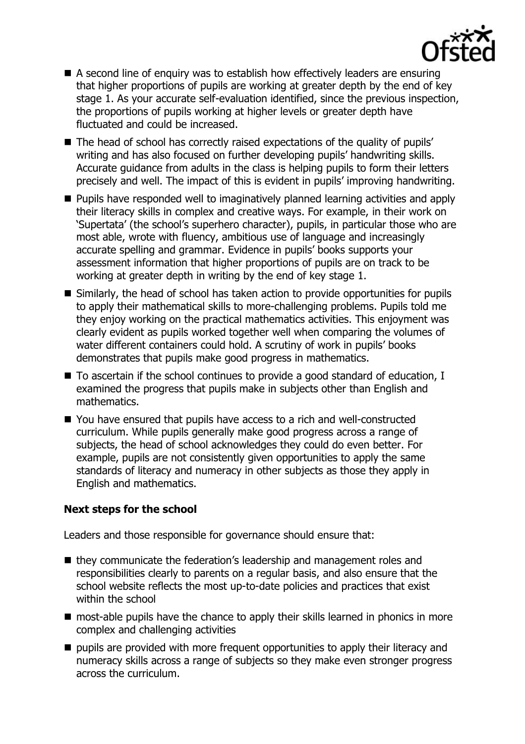

- A second line of enquiry was to establish how effectively leaders are ensuring that higher proportions of pupils are working at greater depth by the end of key stage 1. As your accurate self-evaluation identified, since the previous inspection, the proportions of pupils working at higher levels or greater depth have fluctuated and could be increased.
- The head of school has correctly raised expectations of the quality of pupils' writing and has also focused on further developing pupils' handwriting skills. Accurate guidance from adults in the class is helping pupils to form their letters precisely and well. The impact of this is evident in pupils' improving handwriting.
- **Pupils have responded well to imaginatively planned learning activities and apply** their literacy skills in complex and creative ways. For example, in their work on 'Supertata' (the school's superhero character), pupils, in particular those who are most able, wrote with fluency, ambitious use of language and increasingly accurate spelling and grammar. Evidence in pupils' books supports your assessment information that higher proportions of pupils are on track to be working at greater depth in writing by the end of key stage 1.
- Similarly, the head of school has taken action to provide opportunities for pupils to apply their mathematical skills to more-challenging problems. Pupils told me they enjoy working on the practical mathematics activities. This enjoyment was clearly evident as pupils worked together well when comparing the volumes of water different containers could hold. A scrutiny of work in pupils' books demonstrates that pupils make good progress in mathematics.
- $\blacksquare$  To ascertain if the school continues to provide a good standard of education, I examined the progress that pupils make in subjects other than English and mathematics.
- You have ensured that pupils have access to a rich and well-constructed curriculum. While pupils generally make good progress across a range of subjects, the head of school acknowledges they could do even better. For example, pupils are not consistently given opportunities to apply the same standards of literacy and numeracy in other subjects as those they apply in English and mathematics.

## **Next steps for the school**

Leaders and those responsible for governance should ensure that:

- they communicate the federation's leadership and management roles and responsibilities clearly to parents on a regular basis, and also ensure that the school website reflects the most up-to-date policies and practices that exist within the school
- most-able pupils have the chance to apply their skills learned in phonics in more complex and challenging activities
- pupils are provided with more frequent opportunities to apply their literacy and numeracy skills across a range of subjects so they make even stronger progress across the curriculum.